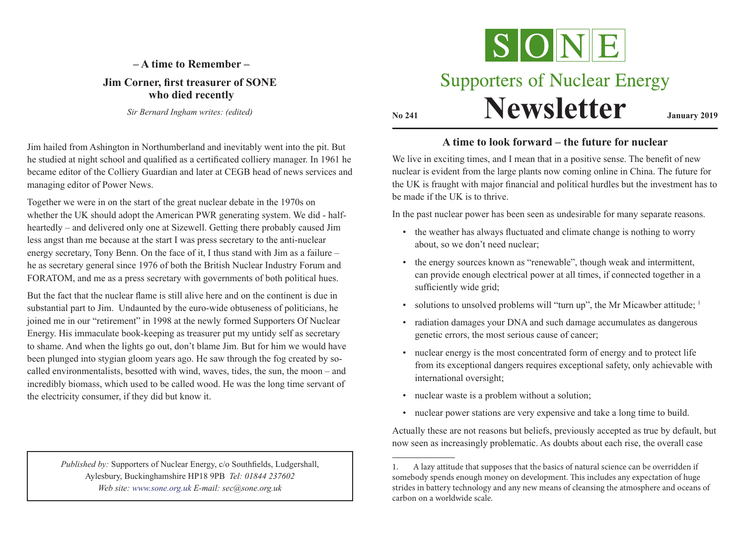## **– A time to Remember – Jim Corner, first treasurer of SONE who died recently**

*Sir Bernard Ingham writes: (edited)*

Jim hailed from Ashington in Northumberland and inevitably went into the pit. But he studied at night school and qualified as a certificated colliery manager. In 1961 he became editor of the Colliery Guardian and later at CEGB head of news services and managing editor of Power News.

Together we were in on the start of the great nuclear debate in the 1970s on whether the UK should adopt the American PWR generating system. We did - halfheartedly – and delivered only one at Sizewell. Getting there probably caused Jim less angst than me because at the start I was press secretary to the anti-nuclear energy secretary, Tony Benn. On the face of it, I thus stand with Jim as a failure – he as secretary general since 1976 of both the British Nuclear Industry Forum and FORATOM, and me as a press secretary with governments of both political hues.

But the fact that the nuclear flame is still alive here and on the continent is due in substantial part to Jim. Undaunted by the euro-wide obtuseness of politicians, he joined me in our "retirement" in 1998 at the newly formed Supporters Of Nuclear Energy. His immaculate book-keeping as treasurer put my untidy self as secretary to shame. And when the lights go out, don't blame Jim. But for him we would have been plunged into stygian gloom years ago. He saw through the fog created by socalled environmentalists, besotted with wind, waves, tides, the sun, the moon – and incredibly biomass, which used to be called wood. He was the long time servant of the electricity consumer, if they did but know it.

> *Published by:* Supporters of Nuclear Energy, c/o Southfields, Ludgershall, Aylesbury, Buckinghamshire HP18 9PB *Tel: 01844 237602 Web site: www.sone.org.uk E-mail: sec@sone.org.uk*



# **Supporters of Nuclear Energy Newsletter January 2019**

## **A time to look forward – the future for nuclear**

We live in exciting times, and I mean that in a positive sense. The benefit of new nuclear is evident from the large plants now coming online in China. The future for the UK is fraught with major financial and political hurdles but the investment has to be made if the UK is to thrive.

In the past nuclear power has been seen as undesirable for many separate reasons.

- the weather has always fluctuated and climate change is nothing to worry about, so we don't need nuclear;
- the energy sources known as "renewable", though weak and intermittent, can provide enough electrical power at all times, if connected together in a sufficiently wide grid;
- solutions to unsolved problems will "turn up", the Mr Micawber attitude;  $<sup>1</sup>$ </sup>
- radiation damages your DNA and such damage accumulates as dangerous genetic errors, the most serious cause of cancer;
- nuclear energy is the most concentrated form of energy and to protect life from its exceptional dangers requires exceptional safety, only achievable with international oversight;
- nuclear waste is a problem without a solution;
- nuclear power stations are very expensive and take a long time to build.

Actually these are not reasons but beliefs, previously accepted as true by default, but now seen as increasingly problematic. As doubts about each rise, the overall case

<sup>1.</sup> A lazy attitude that supposes that the basics of natural science can be overridden if somebody spends enough money on development. This includes any expectation of huge strides in battery technology and any new means of cleansing the atmosphere and oceans of carbon on a worldwide scale.